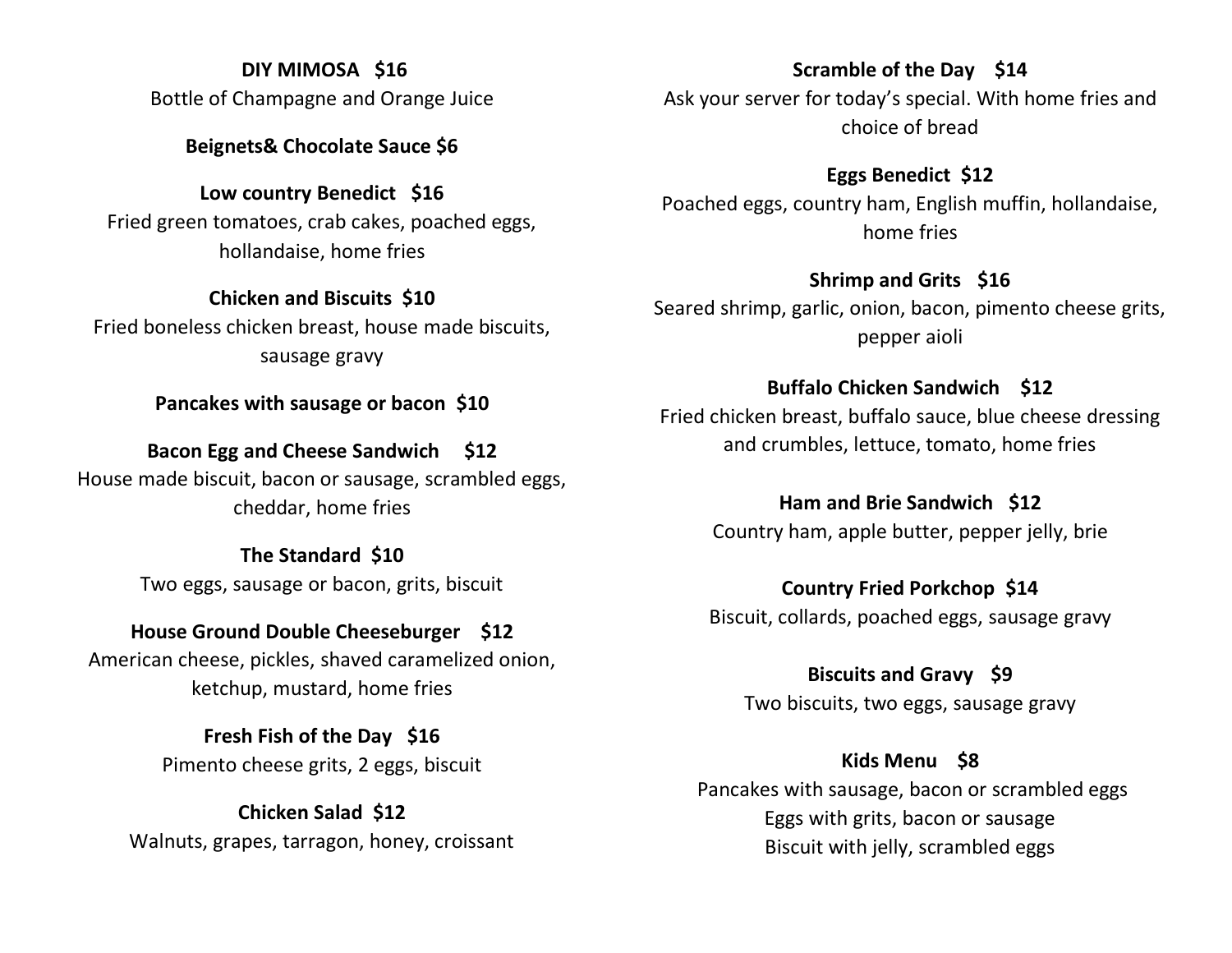**DIY MIMOSA \$16** Bottle of Champagne and Orange Juice

### **Beignets& Chocolate Sauce \$6**

**Low country Benedict \$16** Fried green tomatoes, crab cakes, poached eggs, hollandaise, home fries

**Chicken and Biscuits \$10** Fried boneless chicken breast, house made biscuits, sausage gravy

**Pancakes with sausage or bacon \$10**

**Bacon Egg and Cheese Sandwich \$12** House made biscuit, bacon or sausage, scrambled eggs, cheddar, home fries

> **The Standard \$10** Two eggs, sausage or bacon, grits, biscuit

**House Ground Double Cheeseburger \$12** American cheese, pickles, shaved caramelized onion, ketchup, mustard, home fries

> **Fresh Fish of the Day \$16** Pimento cheese grits, 2 eggs, biscuit

**Chicken Salad \$12** Walnuts, grapes, tarragon, honey, croissant

**Scramble of the Day \$14** Ask your server for today's special. With home fries and choice of bread

**Eggs Benedict \$12** Poached eggs, country ham, English muffin, hollandaise, home fries

**Shrimp and Grits \$16** Seared shrimp, garlic, onion, bacon, pimento cheese grits, pepper aioli

**Buffalo Chicken Sandwich \$12** Fried chicken breast, buffalo sauce, blue cheese dressing

and crumbles, lettuce, tomato, home fries

**Ham and Brie Sandwich \$12** Country ham, apple butter, pepper jelly, brie

**Country Fried Porkchop \$14** Biscuit, collards, poached eggs, sausage gravy

**Biscuits and Gravy \$9** Two biscuits, two eggs, sausage gravy

**Kids Menu \$8** Pancakes with sausage, bacon or scrambled eggs Eggs with grits, bacon or sausage Biscuit with jelly, scrambled eggs